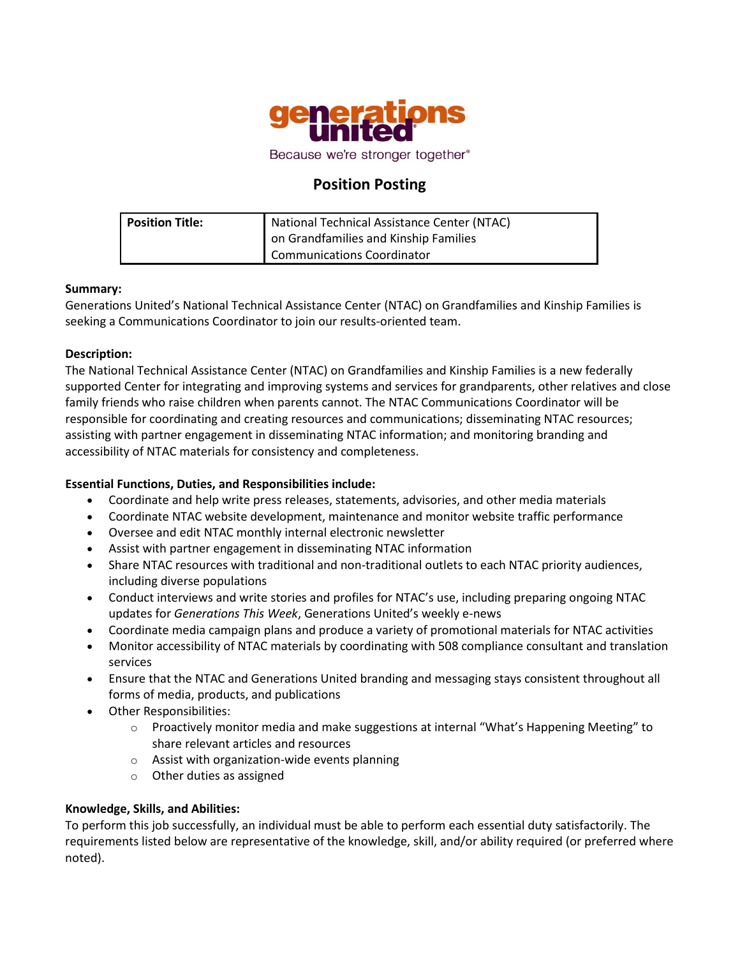

# **Position Posting**

| <b>Position Title:</b> | National Technical Assistance Center (NTAC) |
|------------------------|---------------------------------------------|
|                        | on Grandfamilies and Kinship Families       |
|                        | <b>Communications Coordinator</b>           |

## **Summary:**

Generations United's National Technical Assistance Center (NTAC) on Grandfamilies and Kinship Families is seeking a Communications Coordinator to join our results-oriented team.

## **Description:**

The National Technical Assistance Center (NTAC) on Grandfamilies and Kinship Families is a new federally supported Center for integrating and improving systems and services for grandparents, other relatives and close family friends who raise children when parents cannot. The NTAC Communications Coordinator will be responsible for coordinating and creating resources and communications; disseminating NTAC resources; assisting with partner engagement in disseminating NTAC information; and monitoring branding and accessibility of NTAC materials for consistency and completeness.

## **Essential Functions, Duties, and Responsibilities include:**

- Coordinate and help write press releases, statements, advisories, and other media materials
- Coordinate NTAC website development, maintenance and monitor website traffic performance
- Oversee and edit NTAC monthly internal electronic newsletter
- Assist with partner engagement in disseminating NTAC information
- Share NTAC resources with traditional and non-traditional outlets to each NTAC priority audiences, including diverse populations
- Conduct interviews and write stories and profiles for NTAC's use, including preparing ongoing NTAC updates for *Generations This Week*, Generations United's weekly e-news
- Coordinate media campaign plans and produce a variety of promotional materials for NTAC activities
- Monitor accessibility of NTAC materials by coordinating with 508 compliance consultant and translation services
- Ensure that the NTAC and Generations United branding and messaging stays consistent throughout all forms of media, products, and publications
- Other Responsibilities:
	- $\circ$  Proactively monitor media and make suggestions at internal "What's Happening Meeting" to share relevant articles and resources
	- o Assist with organization-wide events planning
	- o Other duties as assigned

## **Knowledge, Skills, and Abilities:**

To perform this job successfully, an individual must be able to perform each essential duty satisfactorily. The requirements listed below are representative of the knowledge, skill, and/or ability required (or preferred where noted).